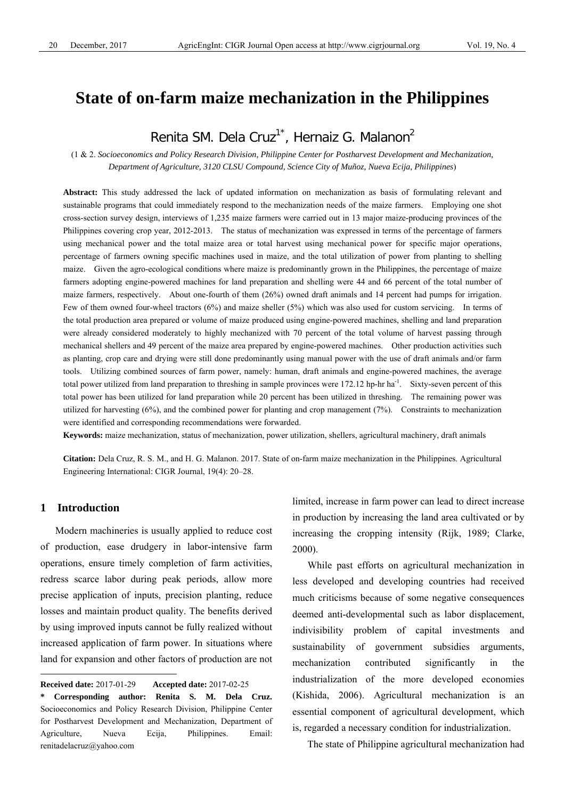# **State of on-farm maize mechanization in the Philippines**

# Renita SM. Dela Cruz<sup>1\*</sup>, Hernaiz G. Malanon<sup>2</sup>

(1 & 2. *Socioeconomics and Policy Research Division, Philippine Center for Postharvest Development and Mechanization, Department of Agriculture, 3120 CLSU Compound, Science City of Muñoz, Nueva Ecija, Philippines*)

**Abstract:** This study addressed the lack of updated information on mechanization as basis of formulating relevant and sustainable programs that could immediately respond to the mechanization needs of the maize farmers. Employing one shot cross-section survey design, interviews of 1,235 maize farmers were carried out in 13 major maize-producing provinces of the Philippines covering crop year, 2012-2013. The status of mechanization was expressed in terms of the percentage of farmers using mechanical power and the total maize area or total harvest using mechanical power for specific major operations, percentage of farmers owning specific machines used in maize, and the total utilization of power from planting to shelling maize. Given the agro-ecological conditions where maize is predominantly grown in the Philippines, the percentage of maize farmers adopting engine-powered machines for land preparation and shelling were 44 and 66 percent of the total number of maize farmers, respectively. About one-fourth of them (26%) owned draft animals and 14 percent had pumps for irrigation. Few of them owned four-wheel tractors (6%) and maize sheller (5%) which was also used for custom servicing. In terms of the total production area prepared or volume of maize produced using engine-powered machines, shelling and land preparation were already considered moderately to highly mechanized with 70 percent of the total volume of harvest passing through mechanical shellers and 49 percent of the maize area prepared by engine-powered machines. Other production activities such as planting, crop care and drying were still done predominantly using manual power with the use of draft animals and/or farm tools. Utilizing combined sources of farm power, namely: human, draft animals and engine-powered machines, the average total power utilized from land preparation to threshing in sample provinces were 172.12 hp-hr ha<sup>-1</sup>. Sixty-seven percent of this total power has been utilized for land preparation while 20 percent has been utilized in threshing. The remaining power was utilized for harvesting (6%), and the combined power for planting and crop management (7%). Constraints to mechanization were identified and corresponding recommendations were forwarded.

**Keywords:** maize mechanization, status of mechanization, power utilization, shellers, agricultural machinery, draft animals

**Citation:** Dela Cruz, R. S. M., and H. G. Malanon. 2017. State of on-farm maize mechanization in the Philippines. Agricultural Engineering International: CIGR Journal, 19(4): 20–28.

# **1 Introduction**

 $\overline{a}$ 

Modern machineries is usually applied to reduce cost of production, ease drudgery in labor-intensive farm operations, ensure timely completion of farm activities, redress scarce labor during peak periods, allow more precise application of inputs, precision planting, reduce losses and maintain product quality. The benefits derived by using improved inputs cannot be fully realized without increased application of farm power. In situations where land for expansion and other factors of production are not limited, increase in farm power can lead to direct increase in production by increasing the land area cultivated or by increasing the cropping intensity (Rijk, 1989; Clarke, 2000).

While past efforts on agricultural mechanization in less developed and developing countries had received much criticisms because of some negative consequences deemed anti-developmental such as labor displacement, indivisibility problem of capital investments and sustainability of government subsidies arguments, mechanization contributed significantly in the industrialization of the more developed economies (Kishida, 2006). Agricultural mechanization is an essential component of agricultural development, which is, regarded a necessary condition for industrialization.

The state of Philippine agricultural mechanization had

**Received date:** 2017-01-29 **Accepted date:** 2017-02-25

**<sup>\*</sup> Corresponding author: Renita S. M. Dela Cruz.** Socioeconomics and Policy Research Division, Philippine Center for Postharvest Development and Mechanization, Department of Agriculture, Nueva Ecija, Philippines. Email: renitadelacruz@yahoo.com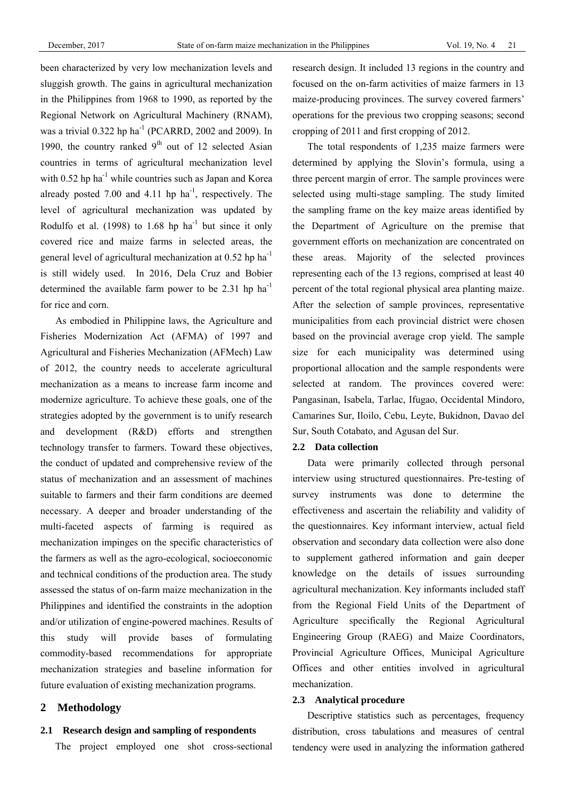been characterized by very low mechanization levels and sluggish growth. The gains in agricultural mechanization in the Philippines from 1968 to 1990, as reported by the Regional Network on Agricultural Machinery (RNAM), was a trivial  $0.322$  hp ha<sup>-1</sup> (PCARRD, 2002 and 2009). In 1990, the country ranked  $9<sup>th</sup>$  out of 12 selected Asian countries in terms of agricultural mechanization level with  $0.52$  hp ha<sup>-1</sup> while countries such as Japan and Korea already posted 7.00 and 4.11 hp  $ha^{-1}$ , respectively. The level of agricultural mechanization was updated by Rodulfo et al. (1998) to  $1.68$  hp ha<sup>-1</sup> but since it only covered rice and maize farms in selected areas, the general level of agricultural mechanization at 0.52 hp ha-1 is still widely used. In 2016, Dela Cruz and Bobier determined the available farm power to be  $2.31$  hp ha<sup>-1</sup> for rice and corn.

As embodied in Philippine laws, the Agriculture and Fisheries Modernization Act (AFMA) of 1997 and Agricultural and Fisheries Mechanization (AFMech) Law of 2012, the country needs to accelerate agricultural mechanization as a means to increase farm income and modernize agriculture. To achieve these goals, one of the strategies adopted by the government is to unify research and development (R&D) efforts and strengthen technology transfer to farmers. Toward these objectives, the conduct of updated and comprehensive review of the status of mechanization and an assessment of machines suitable to farmers and their farm conditions are deemed necessary. A deeper and broader understanding of the multi-faceted aspects of farming is required as mechanization impinges on the specific characteristics of the farmers as well as the agro-ecological, socioeconomic and technical conditions of the production area. The study assessed the status of on-farm maize mechanization in the Philippines and identified the constraints in the adoption and/or utilization of engine-powered machines. Results of this study will provide bases of formulating commodity-based recommendations for appropriate mechanization strategies and baseline information for future evaluation of existing mechanization programs.

# **2 Methodology**

# **2.1 Research design and sampling of respondents**

The project employed one shot cross-sectional

research design. It included 13 regions in the country and focused on the on-farm activities of maize farmers in 13 maize-producing provinces. The survey covered farmers' operations for the previous two cropping seasons; second cropping of 2011 and first cropping of 2012.

The total respondents of 1,235 maize farmers were determined by applying the Slovin's formula, using a three percent margin of error. The sample provinces were selected using multi-stage sampling. The study limited the sampling frame on the key maize areas identified by the Department of Agriculture on the premise that government efforts on mechanization are concentrated on these areas. Majority of the selected provinces representing each of the 13 regions, comprised at least 40 percent of the total regional physical area planting maize. After the selection of sample provinces, representative municipalities from each provincial district were chosen based on the provincial average crop yield. The sample size for each municipality was determined using proportional allocation and the sample respondents were selected at random. The provinces covered were: Pangasinan, Isabela, Tarlac, Ifugao, Occidental Mindoro, Camarines Sur, Iloilo, Cebu, Leyte, Bukidnon, Davao del Sur, South Cotabato, and Agusan del Sur.

# **2.2 Data collection**

Data were primarily collected through personal interview using structured questionnaires. Pre-testing of survey instruments was done to determine the effectiveness and ascertain the reliability and validity of the questionnaires. Key informant interview, actual field observation and secondary data collection were also done to supplement gathered information and gain deeper knowledge on the details of issues surrounding agricultural mechanization. Key informants included staff from the Regional Field Units of the Department of Agriculture specifically the Regional Agricultural Engineering Group (RAEG) and Maize Coordinators, Provincial Agriculture Offices, Municipal Agriculture Offices and other entities involved in agricultural mechanization.

# **2.3 Analytical procedure**

Descriptive statistics such as percentages, frequency distribution, cross tabulations and measures of central tendency were used in analyzing the information gathered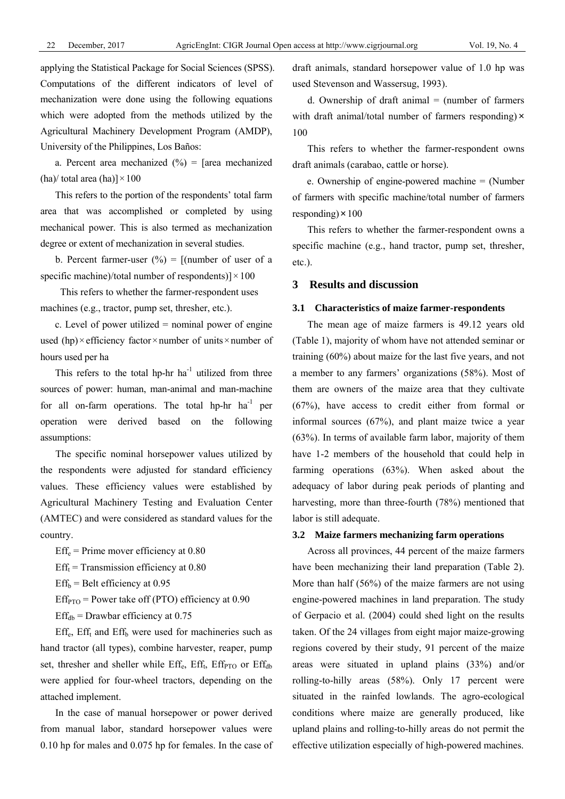applying the Statistical Package for Social Sciences (SPSS). Computations of the different indicators of level of mechanization were done using the following equations which were adopted from the methods utilized by the Agricultural Machinery Development Program (AMDP), University of the Philippines, Los Baños:

a. Percent area mechanized  $(\%)$  = [area mechanized (ha)/ total area (ha)] $\times$ 100

This refers to the portion of the respondents' total farm area that was accomplished or completed by using mechanical power. This is also termed as mechanization degree or extent of mechanization in several studies.

b. Percent farmer-user  $(\%)$  = [(number of user of a specific machine)/total number of respondents)] $\times$ 100

This refers to whether the farmer-respondent uses machines (e.g., tractor, pump set, thresher, etc.).

c. Level of power utilized  $=$  nominal power of engine used (hp) $\times$ efficiency factor $\times$ number of units $\times$ number of hours used per ha

This refers to the total hp-hr  $ha^{-1}$  utilized from three sources of power: human, man-animal and man-machine for all on-farm operations. The total hp-hr  $ha^{-1}$  per operation were derived based on the following assumptions:

The specific nominal horsepower values utilized by the respondents were adjusted for standard efficiency values. These efficiency values were established by Agricultural Machinery Testing and Evaluation Center (AMTEC) and were considered as standard values for the country.

 $Eff_e = Prime$  mover efficiency at 0.80

 $Eff<sub>t</sub>$  = Transmission efficiency at 0.80

 $Eff<sub>b</sub>$  = Belt efficiency at 0.95

 $Eff<sub>PTO</sub>$  = Power take off (PTO) efficiency at 0.90

 $Eff<sub>db</sub> = Drawbar efficiency at 0.75$ 

 $Eff<sub>e</sub>$ ,  $Eff<sub>t</sub>$  and  $Eff<sub>b</sub>$  were used for machineries such as hand tractor (all types), combine harvester, reaper, pump set, thresher and sheller while  $Eff_e$ ,  $Eff_t$ ,  $Eff_{PTO}$  or  $Eff_{db}$ were applied for four-wheel tractors, depending on the attached implement.

In the case of manual horsepower or power derived from manual labor, standard horsepower values were 0.10 hp for males and 0.075 hp for females. In the case of draft animals, standard horsepower value of 1.0 hp was used Stevenson and Wassersug, 1993).

d. Ownership of draft animal  $=$  (number of farmers with draft animal/total number of farmers responding) $\times$ 100

This refers to whether the farmer-respondent owns draft animals (carabao, cattle or horse).

e. Ownership of engine-powered machine = (Number of farmers with specific machine/total number of farmers responding) $\times$ 100

This refers to whether the farmer-respondent owns a specific machine (e.g., hand tractor, pump set, thresher, etc.).

# **3 Results and discussion**

## **3.1 Characteristics of maize farmer-respondents**

The mean age of maize farmers is 49.12 years old (Table 1), majority of whom have not attended seminar or training (60%) about maize for the last five years, and not a member to any farmers' organizations (58%). Most of them are owners of the maize area that they cultivate (67%), have access to credit either from formal or informal sources (67%), and plant maize twice a year (63%). In terms of available farm labor, majority of them have 1-2 members of the household that could help in farming operations (63%). When asked about the adequacy of labor during peak periods of planting and harvesting, more than three-fourth (78%) mentioned that labor is still adequate.

#### **3.2 Maize farmers mechanizing farm operations**

Across all provinces, 44 percent of the maize farmers have been mechanizing their land preparation (Table 2). More than half (56%) of the maize farmers are not using engine-powered machines in land preparation. The study of Gerpacio et al. (2004) could shed light on the results taken. Of the 24 villages from eight major maize-growing regions covered by their study, 91 percent of the maize areas were situated in upland plains (33%) and/or rolling-to-hilly areas (58%). Only 17 percent were situated in the rainfed lowlands. The agro-ecological conditions where maize are generally produced, like upland plains and rolling-to-hilly areas do not permit the effective utilization especially of high-powered machines.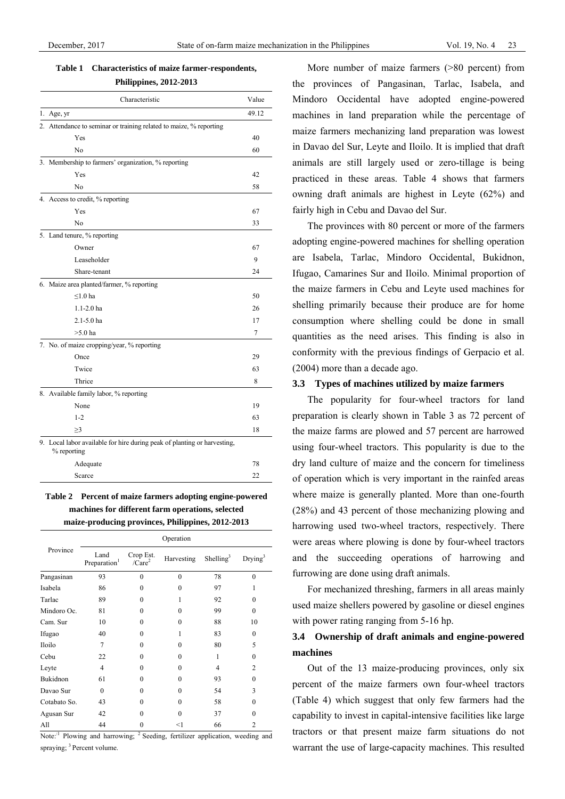**Table 1 Characteristics of maize farmer-respondents,** 

**Philippines, 2012-2013** 

| Characteristic                                                                          | Value |
|-----------------------------------------------------------------------------------------|-------|
| 1. Age, $yr$                                                                            | 49.12 |
| 2. Attendance to seminar or training related to maize, % reporting                      |       |
| Yes                                                                                     | 40    |
| No                                                                                      | 60    |
| 3. Membership to farmers' organization, % reporting                                     |       |
| Yes                                                                                     | 42    |
| N <sub>0</sub>                                                                          | 58    |
| 4. Access to credit, % reporting                                                        |       |
| Yes                                                                                     | 67    |
| N <sub>0</sub>                                                                          | 33    |
| 5. Land tenure, % reporting                                                             |       |
| Owner                                                                                   | 67    |
| Leaseholder                                                                             | 9     |
| Share-tenant                                                                            | 24    |
| 6. Maize area planted/farmer, % reporting                                               |       |
| $< 1.0$ ha                                                                              | 50    |
| $1.1 - 2.0$ ha                                                                          | 26    |
| 2.1-5.0 ha                                                                              | 17    |
| $>5.0$ ha                                                                               | 7     |
| 7. No. of maize cropping/year, % reporting                                              |       |
| Once                                                                                    | 29    |
| Twice                                                                                   | 63    |
| Thrice                                                                                  | 8     |
| 8. Available family labor, % reporting                                                  |       |
| None                                                                                    | 19    |
| $1 - 2$                                                                                 | 63    |
| $\geq$ 3                                                                                | 18    |
| 9. Local labor available for hire during peak of planting or harvesting,<br>% reporting |       |
| Adequate                                                                                | 78    |

**Table 2 Percent of maize farmers adopting engine-powered machines for different farm operations, selected maize-producing provinces, Philippines, 2012-2013** 

Scarce 22

|              |                                  |                        | Operation  |                       |                |
|--------------|----------------------------------|------------------------|------------|-----------------------|----------------|
| Province     | Land<br>Preparation <sup>1</sup> | Crop Est.<br>$/Care^2$ | Harvesting | Shelling <sup>3</sup> | $Drying^3$     |
| Pangasinan   | 93                               | $\theta$               | $\theta$   | 78                    | $\theta$       |
| Isabela      | 86                               | $\theta$               | $\theta$   | 97                    |                |
| Tarlac       | 89                               | $\theta$               | 1          | 92                    | 0              |
| Mindoro Oc.  | 81                               | $\theta$               | $\theta$   | 99                    | 0              |
| Cam. Sur     | 10                               | $\theta$               | $\theta$   | 88                    | 10             |
| Ifugao       | 40                               | $\theta$               | 1          | 83                    | 0              |
| Iloilo       | 7                                | $\theta$               | $\Omega$   | 80                    | 5              |
| Cebu         | 22                               | $\theta$               | $\Omega$   | 1                     | 0              |
| Leyte        | 4                                | $\theta$               | $\theta$   | 4                     | $\overline{c}$ |
| Bukidnon     | 61                               | $\theta$               | $\theta$   | 93                    | 0              |
| Davao Sur    | $\theta$                         | $\Omega$               | $\theta$   | 54                    | 3              |
| Cotabato So. | 43                               | $\theta$               | $\theta$   | 58                    | 0              |
| Agusan Sur   | 42                               | $\theta$               | $\theta$   | 37                    | $\Omega$       |
| All          | 44                               | $\theta$               | $<$ 1      | 66                    | $\overline{c}$ |

Note:<sup>1</sup> Plowing and harrowing; <sup>2</sup> Seeding, fertilizer application, weeding and spraying; <sup>3</sup> Percent volume.

More number of maize farmers (>80 percent) from the provinces of Pangasinan, Tarlac, Isabela, and Mindoro Occidental have adopted engine-powered machines in land preparation while the percentage of maize farmers mechanizing land preparation was lowest in Davao del Sur, Leyte and Iloilo. It is implied that draft animals are still largely used or zero-tillage is being practiced in these areas. Table 4 shows that farmers owning draft animals are highest in Leyte (62%) and fairly high in Cebu and Davao del Sur.

The provinces with 80 percent or more of the farmers adopting engine-powered machines for shelling operation are Isabela, Tarlac, Mindoro Occidental, Bukidnon, Ifugao, Camarines Sur and Iloilo. Minimal proportion of the maize farmers in Cebu and Leyte used machines for shelling primarily because their produce are for home consumption where shelling could be done in small quantities as the need arises. This finding is also in conformity with the previous findings of Gerpacio et al. (2004) more than a decade ago.

#### **3.3 Types of machines utilized by maize farmers**

The popularity for four-wheel tractors for land preparation is clearly shown in Table 3 as 72 percent of the maize farms are plowed and 57 percent are harrowed using four-wheel tractors. This popularity is due to the dry land culture of maize and the concern for timeliness of operation which is very important in the rainfed areas where maize is generally planted. More than one-fourth (28%) and 43 percent of those mechanizing plowing and harrowing used two-wheel tractors, respectively. There were areas where plowing is done by four-wheel tractors and the succeeding operations of harrowing and furrowing are done using draft animals.

For mechanized threshing, farmers in all areas mainly used maize shellers powered by gasoline or diesel engines with power rating ranging from 5-16 hp.

# **3.4 Ownership of draft animals and engine-powered machines**

Out of the 13 maize-producing provinces, only six percent of the maize farmers own four-wheel tractors (Table 4) which suggest that only few farmers had the capability to invest in capital-intensive facilities like large tractors or that present maize farm situations do not warrant the use of large-capacity machines. This resulted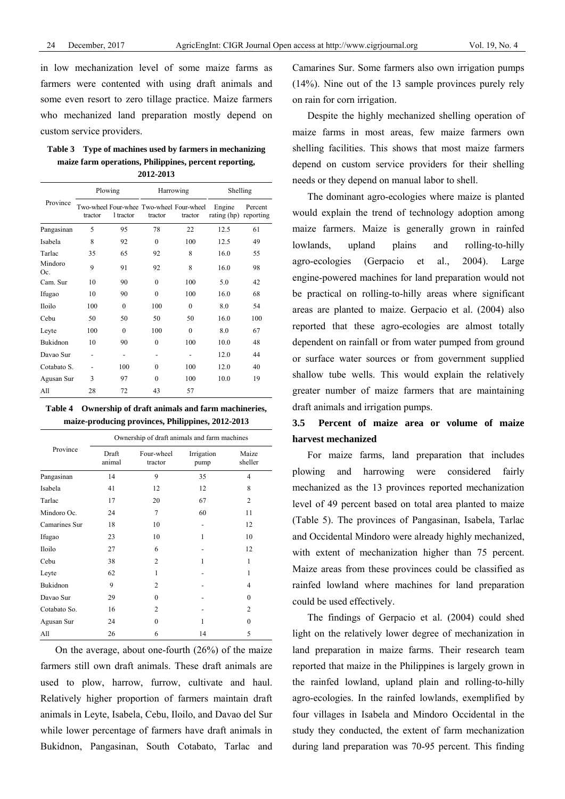in low mechanization level of some maize farms as farmers were contented with using draft animals and some even resort to zero tillage practice. Maize farmers who mechanized land preparation mostly depend on custom service providers.

**Table 3 Type of machines used by farmers in mechanizing maize farm operations, Philippines, percent reporting, 2012-2013** 

|                | Plowing |                          |              | Harrowing                                           | Shelling                        |         |
|----------------|---------|--------------------------|--------------|-----------------------------------------------------|---------------------------------|---------|
| Province       | tractor | 1 tractor                | tractor      | Two-wheel Four-whee Two-wheel Four-wheel<br>tractor | Engine<br>rating (hp) reporting | Percent |
| Pangasinan     | 5       | 95                       | 78           | 22                                                  | 12.5                            | 61      |
| Isabela        | 8       | 92                       | $\theta$     | 100                                                 | 12.5                            | 49      |
| Tarlac         | 35      | 65                       | 92           | 8                                                   | 16.0                            | 55      |
| Mindoro<br>Oc. | 9       | 91                       | 92           | 8                                                   | 16.0                            | 98      |
| Cam. Sur       | 10      | 90                       | $\Omega$     | 100                                                 | 5.0                             | 42      |
| Ifugao         | 10      | 90                       | $\theta$     | 100                                                 | 16.0                            | 68      |
| <b>Iloilo</b>  | 100     | $\theta$                 | 100          | $\mathbf{0}$                                        | 8.0                             | 54      |
| Cebu           | 50      | 50                       | 50           | 50                                                  | 16.0                            | 100     |
| Leyte          | 100     | $\theta$                 | 100          | $\theta$                                            | 8.0                             | 67      |
| Bukidnon       | 10      | 90                       | $\mathbf{0}$ | 100                                                 | 10.0                            | 48      |
| Davao Sur      |         | $\overline{\phantom{a}}$ |              | $\qquad \qquad \blacksquare$                        | 12.0                            | 44      |
| Cotabato S.    |         | 100                      | $\Omega$     | 100                                                 | 12.0                            | 40      |
| Agusan Sur     | 3       | 97                       | $\Omega$     | 100                                                 | 10.0                            | 19      |
| All            | 28      | 72                       | 43           | 57                                                  |                                 |         |

**Table 4 Ownership of draft animals and farm machineries, maize-producing provinces, Philippines, 2012-2013** 

|               |                 | Ownership of draft animals and farm machines |                    |                  |
|---------------|-----------------|----------------------------------------------|--------------------|------------------|
| Province      | Draft<br>animal | Four-wheel<br>tractor                        | Irrigation<br>pump | Maize<br>sheller |
| Pangasinan    | 14              | 9                                            | 35                 | $\overline{4}$   |
| Isabela       | 41              | 12                                           | 12                 | 8                |
| Tarlac        | 17              | 20                                           | 67                 | 2                |
| Mindoro Oc.   | 24              | 7                                            | 60                 | 11               |
| Camarines Sur | 18              | 10                                           | -                  | 12               |
| Ifugao        | 23              | 10                                           | 1                  | 10               |
| Iloilo        | 27              | 6                                            |                    | 12               |
| Cebu          | 38              | $\overline{c}$                               | 1                  | 1                |
| Leyte         | 62              | 1                                            |                    | 1                |
| Bukidnon      | 9               | $\overline{2}$                               |                    | 4                |
| Davao Sur     | 29              | $\Omega$                                     |                    | $\Omega$         |
| Cotabato So.  | 16              | $\mathfrak{D}$                               |                    | $\overline{c}$   |
| Agusan Sur    | 24              | $\Omega$                                     | 1                  | $\Omega$         |
| All           | 26              | 6                                            | 14                 | 5                |

On the average, about one-fourth (26%) of the maize farmers still own draft animals. These draft animals are used to plow, harrow, furrow, cultivate and haul. Relatively higher proportion of farmers maintain draft animals in Leyte, Isabela, Cebu, Iloilo, and Davao del Sur while lower percentage of farmers have draft animals in Bukidnon, Pangasinan, South Cotabato, Tarlac and Camarines Sur. Some farmers also own irrigation pumps (14%). Nine out of the 13 sample provinces purely rely on rain for corn irrigation.

Despite the highly mechanized shelling operation of maize farms in most areas, few maize farmers own shelling facilities. This shows that most maize farmers depend on custom service providers for their shelling needs or they depend on manual labor to shell.

The dominant agro-ecologies where maize is planted would explain the trend of technology adoption among maize farmers. Maize is generally grown in rainfed lowlands, upland plains and rolling-to-hilly agro-ecologies (Gerpacio et al., 2004). Large engine-powered machines for land preparation would not be practical on rolling-to-hilly areas where significant areas are planted to maize. Gerpacio et al. (2004) also reported that these agro-ecologies are almost totally dependent on rainfall or from water pumped from ground or surface water sources or from government supplied shallow tube wells. This would explain the relatively greater number of maize farmers that are maintaining draft animals and irrigation pumps.

# **3.5 Percent of maize area or volume of maize harvest mechanized**

For maize farms, land preparation that includes plowing and harrowing were considered fairly mechanized as the 13 provinces reported mechanization level of 49 percent based on total area planted to maize (Table 5). The provinces of Pangasinan, Isabela, Tarlac and Occidental Mindoro were already highly mechanized, with extent of mechanization higher than 75 percent. Maize areas from these provinces could be classified as rainfed lowland where machines for land preparation could be used effectively.

The findings of Gerpacio et al. (2004) could shed light on the relatively lower degree of mechanization in land preparation in maize farms. Their research team reported that maize in the Philippines is largely grown in the rainfed lowland, upland plain and rolling-to-hilly agro-ecologies. In the rainfed lowlands, exemplified by four villages in Isabela and Mindoro Occidental in the study they conducted, the extent of farm mechanization during land preparation was 70-95 percent. This finding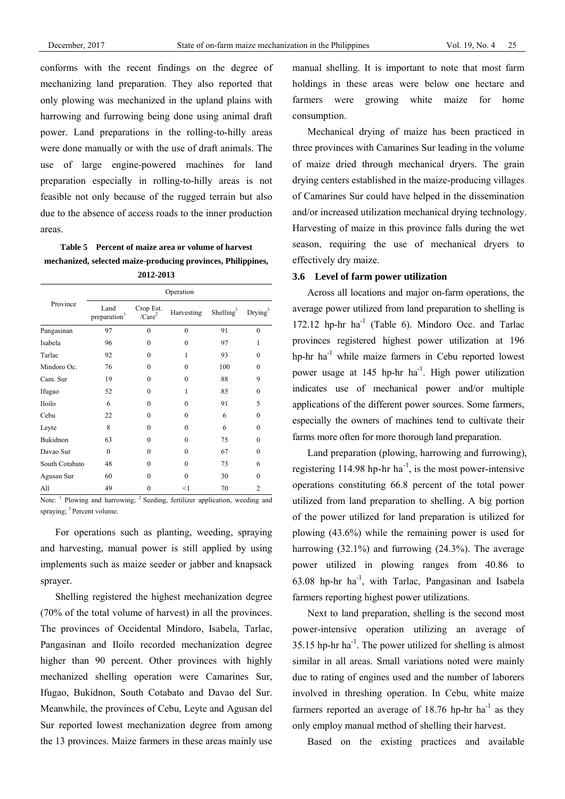conforms with the recent findings on the degree of mechanizing land preparation. They also reported that only plowing was mechanized in the upland plains with harrowing and furrowing being done using animal draft power. Land preparations in the rolling-to-hilly areas were done manually or with the use of draft animals. The use of large engine-powered machines for land preparation especially in rolling-to-hilly areas is not feasible not only because of the rugged terrain but also due to the absence of access roads to the inner production areas.

**Table 5 Percent of maize area or volume of harvest mechanized, selected maize-producing provinces, Philippines, 2012-2013** 

|                | Operation                        |                                 |            |                       |            |  |  |  |  |
|----------------|----------------------------------|---------------------------------|------------|-----------------------|------------|--|--|--|--|
| Province       | Land<br>preparation <sup>1</sup> | Crop Est.<br>/Care <sup>2</sup> | Harvesting | Shelling <sup>3</sup> | $Drying^3$ |  |  |  |  |
| Pangasinan     | 97                               | $\Omega$                        | $\theta$   | 91                    | $\Omega$   |  |  |  |  |
| Isabela        | 96                               | $\theta$                        | $\theta$   | 97                    | 1          |  |  |  |  |
| Tarlac         | 92                               | $\theta$                        | 1          | 93                    | $\theta$   |  |  |  |  |
| Mindoro Oc.    | 76                               | $\theta$                        | $\theta$   | 100                   | $\theta$   |  |  |  |  |
| Cam. Sur       | 19                               | $\theta$                        | $\theta$   | 88                    | 9          |  |  |  |  |
| Ifugao         | 52                               | $\theta$                        | 1          | 85                    | $\theta$   |  |  |  |  |
| Iloilo         | 6                                | $\Omega$                        | $\Omega$   | 91                    | 5          |  |  |  |  |
| Cebu           | 22                               | $\theta$                        | $\theta$   | 6                     | $\theta$   |  |  |  |  |
| Leyte          | 8                                | $\theta$                        | $\theta$   | 6                     | $\theta$   |  |  |  |  |
| Bukidnon       | 63                               | $\theta$                        | $\theta$   | 75                    | $\theta$   |  |  |  |  |
| Davao Sur      | $\theta$                         | $\Omega$                        | $\Omega$   | 67                    | $\theta$   |  |  |  |  |
| South Cotabato | 48                               | $\Omega$                        | $\Omega$   | 73                    | 6          |  |  |  |  |
| Agusan Sur     | 60                               | $\Omega$                        | $\Omega$   | 30                    | 0          |  |  |  |  |
| All            | 49                               | 0                               | $<$ 1      | 70                    | 2          |  |  |  |  |

Note: <sup>1</sup> Plowing and harrowing; <sup>2</sup> Seeding, fertilizer application, weeding and spraying;  $3$  Percent volume.

For operations such as planting, weeding, spraying and harvesting, manual power is still applied by using implements such as maize seeder or jabber and knapsack sprayer.

Shelling registered the highest mechanization degree (70% of the total volume of harvest) in all the provinces. The provinces of Occidental Mindoro, Isabela, Tarlac, Pangasinan and Iloilo recorded mechanization degree higher than 90 percent. Other provinces with highly mechanized shelling operation were Camarines Sur, Ifugao, Bukidnon, South Cotabato and Davao del Sur. Meanwhile, the provinces of Cebu, Leyte and Agusan del Sur reported lowest mechanization degree from among the 13 provinces. Maize farmers in these areas mainly use manual shelling. It is important to note that most farm holdings in these areas were below one hectare and farmers were growing white maize for home consumption.

Mechanical drying of maize has been practiced in three provinces with Camarines Sur leading in the volume of maize dried through mechanical dryers. The grain drying centers established in the maize-producing villages of Camarines Sur could have helped in the dissemination and/or increased utilization mechanical drying technology. Harvesting of maize in this province falls during the wet season, requiring the use of mechanical dryers to effectively dry maize.

# **3.6 Level of farm power utilization**

Across all locations and major on-farm operations, the average power utilized from land preparation to shelling is 172.12 hp-hr  $ha^{-1}$  (Table 6). Mindoro Occ. and Tarlac provinces registered highest power utilization at 196 hp-hr  $ha^{-1}$  while maize farmers in Cebu reported lowest power usage at  $145$  hp-hr ha<sup>-1</sup>. High power utilization indicates use of mechanical power and/or multiple applications of the different power sources. Some farmers, especially the owners of machines tend to cultivate their farms more often for more thorough land preparation.

Land preparation (plowing, harrowing and furrowing), registering  $114.98$  hp-hr ha<sup>-1</sup>, is the most power-intensive operations constituting 66.8 percent of the total power utilized from land preparation to shelling. A big portion of the power utilized for land preparation is utilized for plowing (43.6%) while the remaining power is used for harrowing (32.1%) and furrowing (24.3%). The average power utilized in plowing ranges from 40.86 to 63.08 hp-hr ha-1, with Tarlac, Pangasinan and Isabela farmers reporting highest power utilizations.

Next to land preparation, shelling is the second most power-intensive operation utilizing an average of  $35.15$  hp-hr ha<sup>-1</sup>. The power utilized for shelling is almost similar in all areas. Small variations noted were mainly due to rating of engines used and the number of laborers involved in threshing operation. In Cebu, white maize farmers reported an average of  $18.76$  hp-hr ha<sup>-1</sup> as they only employ manual method of shelling their harvest.

Based on the existing practices and available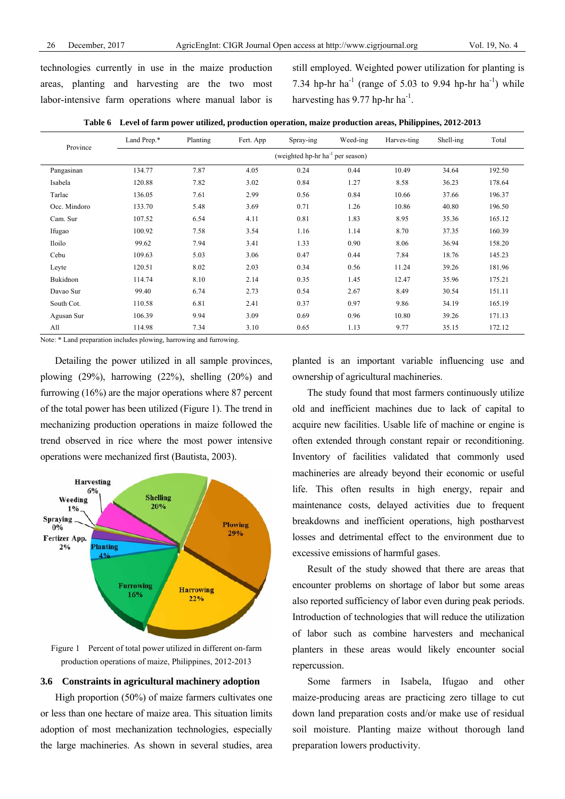technologies currently in use in the maize production areas, planting and harvesting are the two most labor-intensive farm operations where manual labor is still employed. Weighted power utilization for planting is 7.34 hp-hr ha<sup>-1</sup> (range of 5.03 to 9.94 hp-hr ha<sup>-1</sup>) while harvesting has  $9.77$  hp-hr ha<sup>-1</sup>.

| Table 6 Level of farm power utilized, production operation, maize production areas, Philippines, 2012-2013 |  |  |  |  |  |  |  |  |
|------------------------------------------------------------------------------------------------------------|--|--|--|--|--|--|--|--|
|------------------------------------------------------------------------------------------------------------|--|--|--|--|--|--|--|--|

| Province     | Land Prep.*                                  | Planting | Fert. App | Spray-ing | Weed-ing | Harves-ting | Shell-ing | Total  |  |
|--------------|----------------------------------------------|----------|-----------|-----------|----------|-------------|-----------|--------|--|
|              | (weighted hp-hr ha <sup>-1</sup> per season) |          |           |           |          |             |           |        |  |
| Pangasinan   | 134.77                                       | 7.87     | 4.05      | 0.24      | 0.44     | 10.49       | 34.64     | 192.50 |  |
| Isabela      | 120.88                                       | 7.82     | 3.02      | 0.84      | 1.27     | 8.58        | 36.23     | 178.64 |  |
| Tarlac       | 136.05                                       | 7.61     | 2.99      | 0.56      | 0.84     | 10.66       | 37.66     | 196.37 |  |
| Occ. Mindoro | 133.70                                       | 5.48     | 3.69      | 0.71      | 1.26     | 10.86       | 40.80     | 196.50 |  |
| Cam. Sur     | 107.52                                       | 6.54     | 4.11      | 0.81      | 1.83     | 8.95        | 35.36     | 165.12 |  |
| Ifugao       | 100.92                                       | 7.58     | 3.54      | 1.16      | 1.14     | 8.70        | 37.35     | 160.39 |  |
| Iloilo       | 99.62                                        | 7.94     | 3.41      | 1.33      | 0.90     | 8.06        | 36.94     | 158.20 |  |
| Cebu         | 109.63                                       | 5.03     | 3.06      | 0.47      | 0.44     | 7.84        | 18.76     | 145.23 |  |
| Leyte        | 120.51                                       | 8.02     | 2.03      | 0.34      | 0.56     | 11.24       | 39.26     | 181.96 |  |
| Bukidnon     | 114.74                                       | 8.10     | 2.14      | 0.35      | 1.45     | 12.47       | 35.96     | 175.21 |  |
| Davao Sur    | 99.40                                        | 6.74     | 2.73      | 0.54      | 2.67     | 8.49        | 30.54     | 151.11 |  |
| South Cot.   | 110.58                                       | 6.81     | 2.41      | 0.37      | 0.97     | 9.86        | 34.19     | 165.19 |  |
| Agusan Sur   | 106.39                                       | 9.94     | 3.09      | 0.69      | 0.96     | 10.80       | 39.26     | 171.13 |  |
| All          | 114.98                                       | 7.34     | 3.10      | 0.65      | 1.13     | 9.77        | 35.15     | 172.12 |  |

Note: \* Land preparation includes plowing, harrowing and furrowing.

Detailing the power utilized in all sample provinces, plowing (29%), harrowing (22%), shelling (20%) and furrowing (16%) are the major operations where 87 percent of the total power has been utilized (Figure 1). The trend in mechanizing production operations in maize followed the trend observed in rice where the most power intensive operations were mechanized first (Bautista, 2003).



Figure 1 Percent of total power utilized in different on-farm production operations of maize, Philippines, 2012-2013

#### **3.6 Constraints in agricultural machinery adoption**

High proportion (50%) of maize farmers cultivates one or less than one hectare of maize area. This situation limits adoption of most mechanization technologies, especially the large machineries. As shown in several studies, area planted is an important variable influencing use and ownership of agricultural machineries.

The study found that most farmers continuously utilize old and inefficient machines due to lack of capital to acquire new facilities. Usable life of machine or engine is often extended through constant repair or reconditioning. Inventory of facilities validated that commonly used machineries are already beyond their economic or useful life. This often results in high energy, repair and maintenance costs, delayed activities due to frequent breakdowns and inefficient operations, high postharvest losses and detrimental effect to the environment due to excessive emissions of harmful gases.

Result of the study showed that there are areas that encounter problems on shortage of labor but some areas also reported sufficiency of labor even during peak periods. Introduction of technologies that will reduce the utilization of labor such as combine harvesters and mechanical planters in these areas would likely encounter social repercussion.

Some farmers in Isabela, Ifugao and other maize-producing areas are practicing zero tillage to cut down land preparation costs and/or make use of residual soil moisture. Planting maize without thorough land preparation lowers productivity.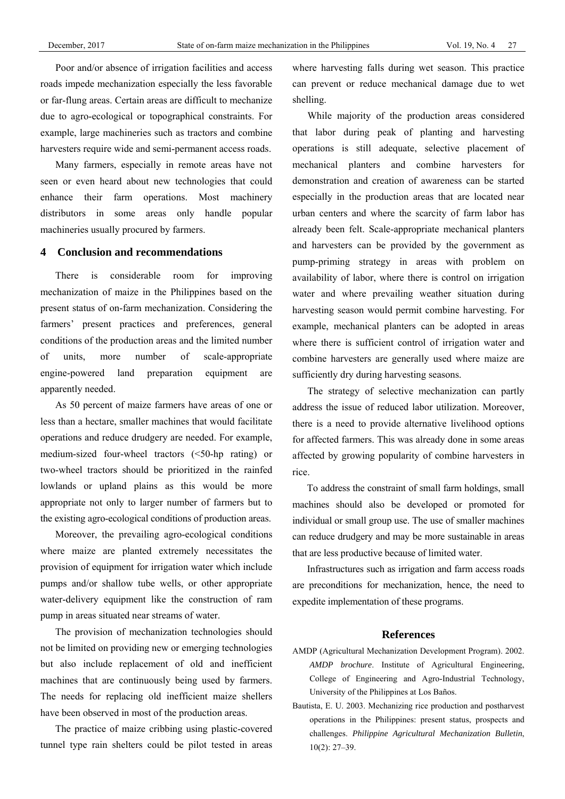Poor and/or absence of irrigation facilities and access roads impede mechanization especially the less favorable or far-flung areas. Certain areas are difficult to mechanize due to agro-ecological or topographical constraints. For example, large machineries such as tractors and combine harvesters require wide and semi-permanent access roads.

Many farmers, especially in remote areas have not seen or even heard about new technologies that could enhance their farm operations. Most machinery distributors in some areas only handle popular machineries usually procured by farmers.

## **4 Conclusion and recommendations**

There is considerable room for improving mechanization of maize in the Philippines based on the present status of on-farm mechanization. Considering the farmers' present practices and preferences, general conditions of the production areas and the limited number of units, more number of scale-appropriate engine-powered land preparation equipment are apparently needed.

As 50 percent of maize farmers have areas of one or less than a hectare, smaller machines that would facilitate operations and reduce drudgery are needed. For example, medium-sized four-wheel tractors (<50-hp rating) or two-wheel tractors should be prioritized in the rainfed lowlands or upland plains as this would be more appropriate not only to larger number of farmers but to the existing agro-ecological conditions of production areas.

Moreover, the prevailing agro-ecological conditions where maize are planted extremely necessitates the provision of equipment for irrigation water which include pumps and/or shallow tube wells, or other appropriate water-delivery equipment like the construction of ram pump in areas situated near streams of water.

The provision of mechanization technologies should not be limited on providing new or emerging technologies but also include replacement of old and inefficient machines that are continuously being used by farmers. The needs for replacing old inefficient maize shellers have been observed in most of the production areas.

The practice of maize cribbing using plastic-covered tunnel type rain shelters could be pilot tested in areas where harvesting falls during wet season. This practice can prevent or reduce mechanical damage due to wet shelling.

While majority of the production areas considered that labor during peak of planting and harvesting operations is still adequate, selective placement of mechanical planters and combine harvesters for demonstration and creation of awareness can be started especially in the production areas that are located near urban centers and where the scarcity of farm labor has already been felt. Scale-appropriate mechanical planters and harvesters can be provided by the government as pump-priming strategy in areas with problem on availability of labor, where there is control on irrigation water and where prevailing weather situation during harvesting season would permit combine harvesting. For example, mechanical planters can be adopted in areas where there is sufficient control of irrigation water and combine harvesters are generally used where maize are sufficiently dry during harvesting seasons.

The strategy of selective mechanization can partly address the issue of reduced labor utilization. Moreover, there is a need to provide alternative livelihood options for affected farmers. This was already done in some areas affected by growing popularity of combine harvesters in rice.

To address the constraint of small farm holdings, small machines should also be developed or promoted for individual or small group use. The use of smaller machines can reduce drudgery and may be more sustainable in areas that are less productive because of limited water.

Infrastructures such as irrigation and farm access roads are preconditions for mechanization, hence, the need to expedite implementation of these programs.

## **References**

- AMDP (Agricultural Mechanization Development Program). 2002. *AMDP brochure*. Institute of Agricultural Engineering, College of Engineering and Agro-Industrial Technology, University of the Philippines at Los Baños.
- Bautista, E. U. 2003. Mechanizing rice production and postharvest operations in the Philippines: present status, prospects and challenges. *Philippine Agricultural Mechanization Bulletin*, 10(2): 27–39.